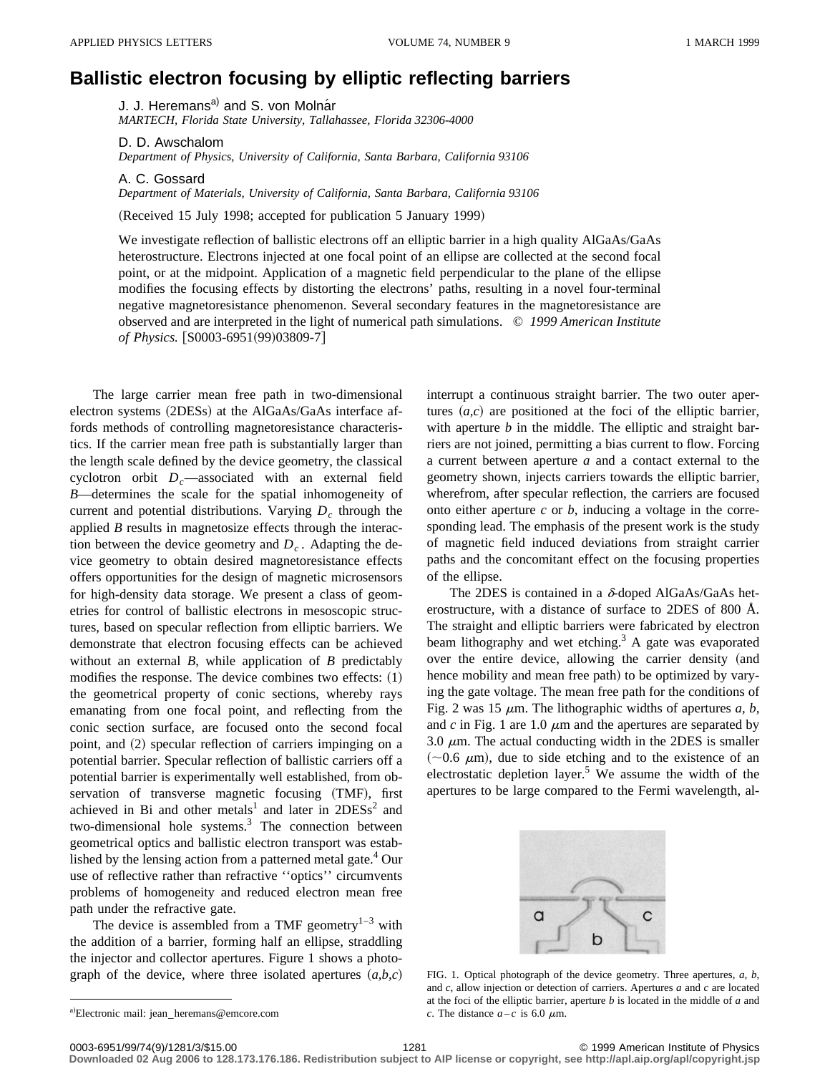## **Ballistic electron focusing by elliptic reflecting barriers**

J. J. Heremans<sup>a)</sup> and S. von Molnar *MARTECH, Florida State University, Tallahassee, Florida 32306-4000*

D. D. Awschalom

*Department of Physics, University of California, Santa Barbara, California 93106*

A. C. Gossard *Department of Materials, University of California, Santa Barbara, California 93106*

(Received 15 July 1998; accepted for publication 5 January 1999)

We investigate reflection of ballistic electrons off an elliptic barrier in a high quality AlGaAs/GaAs heterostructure. Electrons injected at one focal point of an ellipse are collected at the second focal point, or at the midpoint. Application of a magnetic field perpendicular to the plane of the ellipse modifies the focusing effects by distorting the electrons' paths, resulting in a novel four-terminal negative magnetoresistance phenomenon. Several secondary features in the magnetoresistance are observed and are interpreted in the light of numerical path simulations. © *1999 American Institute of Physics.* [S0003-6951(99)03809-7]

The large carrier mean free path in two-dimensional electron systems (2DESs) at the AlGaAs/GaAs interface affords methods of controlling magnetoresistance characteristics. If the carrier mean free path is substantially larger than the length scale defined by the device geometry, the classical cyclotron orbit  $D_c$ —associated with an external field *B*—determines the scale for the spatial inhomogeneity of current and potential distributions. Varying  $D<sub>c</sub>$  through the applied *B* results in magnetosize effects through the interaction between the device geometry and  $D<sub>c</sub>$ . Adapting the device geometry to obtain desired magnetoresistance effects offers opportunities for the design of magnetic microsensors for high-density data storage. We present a class of geometries for control of ballistic electrons in mesoscopic structures, based on specular reflection from elliptic barriers. We demonstrate that electron focusing effects can be achieved without an external *B*, while application of *B* predictably modifies the response. The device combines two effects:  $(1)$ the geometrical property of conic sections, whereby rays emanating from one focal point, and reflecting from the conic section surface, are focused onto the second focal point, and (2) specular reflection of carriers impinging on a potential barrier. Specular reflection of ballistic carriers off a potential barrier is experimentally well established, from observation of transverse magnetic focusing (TMF), first achieved in Bi and other metals<sup>1</sup> and later in  $2DESs<sup>2</sup>$  and two-dimensional hole systems. $3$  The connection between geometrical optics and ballistic electron transport was established by the lensing action from a patterned metal gate. $4$  Our use of reflective rather than refractive ''optics'' circumvents problems of homogeneity and reduced electron mean free path under the refractive gate.

The device is assembled from a TMF geometry $1-3$  with the addition of a barrier, forming half an ellipse, straddling the injector and collector apertures. Figure 1 shows a photograph of the device, where three isolated apertures  $(a,b,c)$ 

a)Electronic mail: jean\_heremans@emcore.com

interrupt a continuous straight barrier. The two outer apertures  $(a, c)$  are positioned at the foci of the elliptic barrier, with aperture *b* in the middle. The elliptic and straight barriers are not joined, permitting a bias current to flow. Forcing a current between aperture *a* and a contact external to the geometry shown, injects carriers towards the elliptic barrier, wherefrom, after specular reflection, the carriers are focused onto either aperture *c* or *b*, inducing a voltage in the corresponding lead. The emphasis of the present work is the study of magnetic field induced deviations from straight carrier paths and the concomitant effect on the focusing properties of the ellipse.

The 2DES is contained in a  $\delta$ -doped AlGaAs/GaAs heterostructure, with a distance of surface to 2DES of 800 Å. The straight and elliptic barriers were fabricated by electron beam lithography and wet etching.<sup>3</sup> A gate was evaporated over the entire device, allowing the carrier density (and hence mobility and mean free path) to be optimized by varying the gate voltage. The mean free path for the conditions of Fig. 2 was 15  $\mu$ m. The lithographic widths of apertures *a*, *b*, and  $c$  in Fig. 1 are 1.0  $\mu$ m and the apertures are separated by 3.0  $\mu$ m. The actual conducting width in the 2DES is smaller  $(\sim 0.6 \mu m)$ , due to side etching and to the existence of an electrostatic depletion layer.<sup>5</sup> We assume the width of the apertures to be large compared to the Fermi wavelength, al-



FIG. 1. Optical photograph of the device geometry. Three apertures, *a, b*, and *c*, allow injection or detection of carriers. Apertures *a* and *c* are located at the foci of the elliptic barrier, aperture *b* is located in the middle of *a* and *c*. The distance  $a-c$  is 6.0  $\mu$ m.

**Downloaded 02 Aug 2006 to 128.173.176.186. Redistribution subject to AIP license or copyright, see http://apl.aip.org/apl/copyright.jsp**

<sup>0003-6951/99/74(9)/1281/3/\$15.00 1999</sup> American Institute of Physics 1281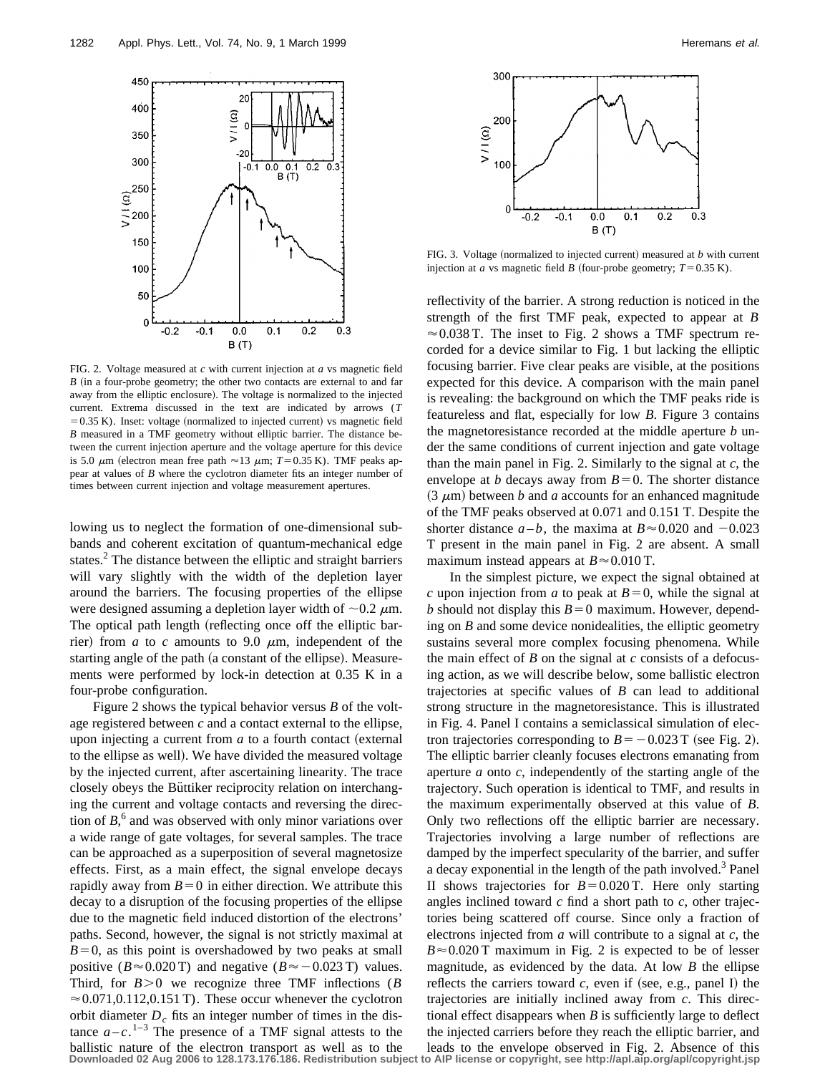

FIG. 2. Voltage measured at *c* with current injection at *a* vs magnetic field  $B$  (in a four-probe geometry; the other two contacts are external to and far away from the elliptic enclosure). The voltage is normalized to the injected current. Extrema discussed in the text are indicated by arrows (*T*  $=0.35$  K). Inset: voltage (normalized to injected current) vs magnetic field *B* measured in a TMF geometry without elliptic barrier. The distance between the current injection aperture and the voltage aperture for this device is 5.0  $\mu$ m (electron mean free path  $\approx$  13  $\mu$ m; *T* = 0.35 K). TMF peaks appear at values of *B* where the cyclotron diameter fits an integer number of times between current injection and voltage measurement apertures.

lowing us to neglect the formation of one-dimensional subbands and coherent excitation of quantum-mechanical edge states.<sup>2</sup> The distance between the elliptic and straight barriers will vary slightly with the width of the depletion layer around the barriers. The focusing properties of the ellipse were designed assuming a depletion layer width of  $\sim 0.2 \mu$ m. The optical path length (reflecting once off the elliptic barrier) from  $a$  to  $c$  amounts to 9.0  $\mu$ m, independent of the starting angle of the path (a constant of the ellipse). Measurements were performed by lock-in detection at 0.35 K in a four-probe configuration.

Figure 2 shows the typical behavior versus *B* of the voltage registered between *c* and a contact external to the ellipse, upon injecting a current from  $a$  to a fourth contact (external to the ellipse as well). We have divided the measured voltage by the injected current, after ascertaining linearity. The trace closely obeys the Büttiker reciprocity relation on interchanging the current and voltage contacts and reversing the direction of  $B$ <sup>6</sup>, and was observed with only minor variations over a wide range of gate voltages, for several samples. The trace can be approached as a superposition of several magnetosize effects. First, as a main effect, the signal envelope decays rapidly away from  $B=0$  in either direction. We attribute this decay to a disruption of the focusing properties of the ellipse due to the magnetic field induced distortion of the electrons' paths. Second, however, the signal is not strictly maximal at  $B=0$ , as this point is overshadowed by two peaks at small positive ( $B \approx 0.020$  T) and negative ( $B \approx -0.023$  T) values. Third, for  $B > 0$  we recognize three TMF inflections (*B*)  $\approx 0.071, 0.112, 0.151$  T). These occur whenever the cyclotron orbit diameter  $D<sub>c</sub>$  fits an integer number of times in the distance  $a - c$ .<sup>1-3</sup> The presence of a TMF signal attests to the ballistic nature of the electron transport as well as to the **Downloaded 02 Aug 2006 to 128.173.176.186. Redistribution subject to AIP license or copyright, see http://apl.aip.org/apl/copyright.jsp**



FIG. 3. Voltage (normalized to injected current) measured at  $b$  with current injection at *a* vs magnetic field *B* (four-probe geometry;  $T=0.35$  K).

reflectivity of the barrier. A strong reduction is noticed in the strength of the first TMF peak, expected to appear at *B*  $\approx 0.038$  T. The inset to Fig. 2 shows a TMF spectrum recorded for a device similar to Fig. 1 but lacking the elliptic focusing barrier. Five clear peaks are visible, at the positions expected for this device. A comparison with the main panel is revealing: the background on which the TMF peaks ride is featureless and flat, especially for low *B*. Figure 3 contains the magnetoresistance recorded at the middle aperture *b* under the same conditions of current injection and gate voltage than the main panel in Fig. 2. Similarly to the signal at *c*, the envelope at *b* decays away from  $B=0$ . The shorter distance  $(3 \mu m)$  between *b* and *a* accounts for an enhanced magnitude of the TMF peaks observed at 0.071 and 0.151 T. Despite the shorter distance  $a - b$ , the maxima at  $B \approx 0.020$  and  $-0.023$ T present in the main panel in Fig. 2 are absent. A small maximum instead appears at  $B \approx 0.010$  T.

In the simplest picture, we expect the signal obtained at *c* upon injection from *a* to peak at  $B=0$ , while the signal at *b* should not display this  $B=0$  maximum. However, depending on *B* and some device nonidealities, the elliptic geometry sustains several more complex focusing phenomena. While the main effect of *B* on the signal at *c* consists of a defocusing action, as we will describe below, some ballistic electron trajectories at specific values of *B* can lead to additional strong structure in the magnetoresistance. This is illustrated in Fig. 4. Panel I contains a semiclassical simulation of electron trajectories corresponding to  $B=-0.023$  T (see Fig. 2). The elliptic barrier cleanly focuses electrons emanating from aperture *a* onto *c*, independently of the starting angle of the trajectory. Such operation is identical to TMF, and results in the maximum experimentally observed at this value of *B*. Only two reflections off the elliptic barrier are necessary. Trajectories involving a large number of reflections are damped by the imperfect specularity of the barrier, and suffer a decay exponential in the length of the path involved.<sup>3</sup> Panel II shows trajectories for  $B=0.020$  T. Here only starting angles inclined toward *c* find a short path to *c*, other trajectories being scattered off course. Since only a fraction of electrons injected from *a* will contribute to a signal at *c*, the  $B \approx 0.020$  T maximum in Fig. 2 is expected to be of lesser magnitude, as evidenced by the data. At low *B* the ellipse reflects the carriers toward  $c$ , even if (see, e.g., panel I) the trajectories are initially inclined away from *c*. This directional effect disappears when *B* is sufficiently large to deflect the injected carriers before they reach the elliptic barrier, and leads to the envelope observed in Fig. 2. Absence of this